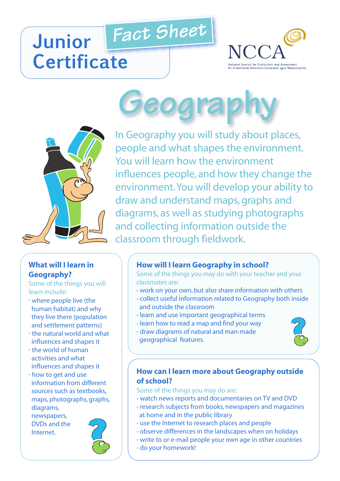## *Fact Sheet* **Junior Certificate**





#### **What will I learn in Geography?**

Some of the things you will learn include:

- where people live (the human habitat) and why they live there (population and settlement patterns)
- the natural world and what influences and shapes it
- the world of human activities and what influences and shapes it
- how to get and use information from different sources such as textbooks, maps, photographs, graphs, diagrams,

newspapers, DVDs and the Internet.



# **Ogra**

In Geography you will study about places, people and what shapes the environment. You will learn how the environment influences people, and how they change the environment.You will develop your ability to draw and understand maps, graphs and diagrams, as well as studying photographs and collecting information outside the classroom through fieldwork.

### **How will I learn Geography in school?**

Some of the things you may do with your teacher and your classmates are:

- work on your own, but also share information with others
- collect useful information related to Geography both inside and outside the classroom
- learn and use important geographical terms
- learn how to read a map and find your way
- draw diagrams of natural and man-made geographical features.



#### **How can I learn more about Geography outside of school?**

Some of the things you may do are:

- watch news reports and documentaries on TV and DVD
- research subjects from books, newspapers and magazines at home and in the public library
- use the Internet to research places and people
- observe differences in the landscapes when on holidays
- write to or e-mail people your own age in other countries
- do your homework!